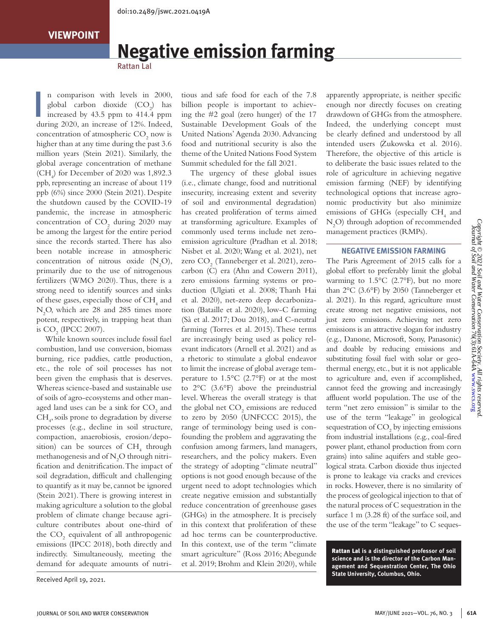# **Negative emission farming**

Rattan Lal

 $\frac{1}{1}$ n comparison with levels in 2000, global carbon dioxide  $(CO_2)$  has increased by 43.5 ppm to 414.4 ppm during 2020, an increase of 12%. Indeed, concentration of atmospheric  $\mathrm{CO}_2$  now is higher than at any time during the past 3.6 million years (Stein 2021). Similarly, the global average concentration of methane (CH<sub>4</sub>) for December of 2020 was  $1,892.3$ ppb, representing an increase of about 119 ppb (6%) since 2000 (Stein 2021). Despite the shutdown caused by the COVID-19 pandemic, the increase in atmospheric concentration of  $CO<sub>2</sub>$  during 2020 may be among the largest for the entire period since the records started. There has also been notable increase in atmospheric concentration of nitrous oxide  $(N_2O)$ , primarily due to the use of nitrogenous fertilizers (WMO 2020). Thus, there is a strong need to identify sources and sinks of these gases, especially those of  $\rm CH_{_4}$  and N2 O, which are 28 and 285 times more potent, respectively, in trapping heat than is  $CO<sub>2</sub>$  (IPCC 2007).

While known sources include fossil fuel combustion, land use conversion, biomass burning, rice paddies, cattle production, etc., the role of soil processes has not been given the emphasis that is deserves. Whereas science-based and sustainable use of soils of agro-ecosystems and other managed land uses can be a sink for  $CO<sub>2</sub>$  and CH4 , soils prone to degradation by diverse processes (e.g., decline in soil structure, compaction, anaerobiosis, erosion/deposition) can be sources of  $CH<sub>4</sub>$  through methanogenesis and of  $N_2O$  through nitrification and denitrification. The impact of soil degradation, difficult and challenging to quantify as it may be, cannot be ignored (Stein 2021). There is growing interest in making agriculture a solution to the global problem of climate change because agriculture contributes about one-third of the  $CO<sub>2</sub>$  equivalent of all anthropogenic emissions (IPCC 2018), both directly and indirectly. Simultaneously, meeting the demand for adequate amounts of nutri-

tious and safe food for each of the 7.8 billion people is important to achieving the #2 goal (zero hunger) of the 17 Sustainable Development Goals of the United Nations' Agenda 2030. Advancing food and nutritional security is also the theme of the United Nations Food System Summit scheduled for the fall 2021.

The urgency of these global issues (i.e., climate change, food and nutritional insecurity, increasing extent and severity of soil and environmental degradation) has created proliferation of terms aimed at transforming agriculture. Examples of commonly used terms include net zeroemission agriculture (Pradhan et al. 2018; Nisbet et al. 2020; Wang et al. 2021), net zero  $\text{CO}_2$  (Tanneberger et al. 2021), zerocarbon (C) era (Ahn and Cowern 2011), zero emissions farming systems or production (Ulgiati et al. 2008; Thanh Hai et al. 2020), net-zero deep decarbonization (Bataille et al. 2020), low-C farming (Sà et al. 2017; Dou 2018), and C-neutral farming (Torres et al. 2015). These terms are increasingly being used as policy relevant indicators (Arnell et al. 2021) and as a rhetoric to stimulate a global endeavor to limit the increase of global average temperature to 1.5°C (2.7°F) or at the most to 2°C (3.6°F) above the preindustrial level. Whereas the overall strategy is that the global net  $\mathrm{CO}_2$  emissions are reduced to zero by 2050 (UNFCCC 2015), the range of terminology being used is confounding the problem and aggravating the confusion among farmers, land managers, researchers, and the policy makers. Even the strategy of adopting "climate neutral" options is not good enough because of the urgent need to adopt technologies which create negative emission and substantially reduce concentration of greenhouse gases (GHGs) in the atmosphere. It is precisely in this context that proliferation of these ad hoc terms can be counterproductive. In this context, use of the term "climate smart agriculture" (Ross 2016; Abegunde et al. 2019; Brohm and Klein 2020), while

apparently appropriate, is neither specific enough nor directly focuses on creating drawdown of GHGs from the atmosphere. Indeed, the underlying concept must be clearly defined and understood by all intended users (Zukowska et al. 2016). Therefore, the objective of this article is to deliberate the basic issues related to the role of agriculture in achieving negative emission farming (NEF) by identifying technological options that increase agronomic productivity but also minimize emissions of GHGs (especially  $\text{CH}_4$  and N2 O) through adoption of recommended management practices (RMPs).

#### **NEGATIVE EMISSION FARMING**

The Paris Agreement of 2015 calls for a global effort to preferably limit the global warming to  $1.5^{\circ}$ C (2.7 $^{\circ}$ F), but no more than 2°C (3.6°F) by 2050 (Tanneberger et al. 2021). In this regard, agriculture must create strong net negative emissions, not just zero emissions. Achieving net zero emissions is an attractive slogan for industry (e.g., Danone, Microsoft, Sony, Panasonic) and doable by reducing emissions and substituting fossil fuel with solar or geothermal energy, etc., but it is not applicable to agriculture and, even if accomplished, cannot feed the growing and increasingly affluent world population. The use of the term "net zero emission" is similar to the use of the term "leakage" in geological sequestration of  $\mathrm{CO}_2$  by injecting emissions from industrial installations (e.g., coal-fired power plant, ethanol production from corn grains) into saline aquifers and stable geological strata. Carbon dioxide thus injected is prone to leakage via cracks and crevices in rocks. However, there is no similarity of the process of geological injection to that of the natural process of C sequestration in the surface 1 m (3.28 ft) of the surface soil, and the use of the term "leakage" to C seques-

Rattan Lal **is a distinguished professor of soil science and is the director of the Carbon Management and Sequestration Center, The Ohio State University, Columbus, Ohio.** Received April 19, 2021.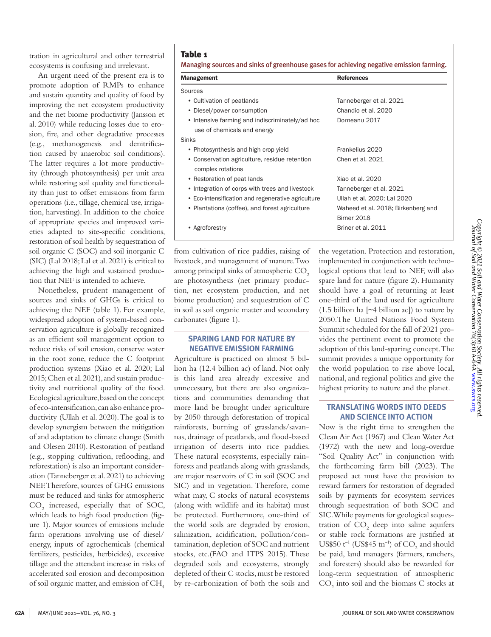An urgent need of the present era is to promote adoption of RMPs to enhance and sustain quantity and quality of food by improving the net ecosystem productivity and the net biome productivity (Jansson et al. 2010) while reducing losses due to erosion, fire, and other degradative processes (e.g., methanogenesis and denitrification caused by anaerobic soil conditions). The latter requires a lot more productivity (through photosynthesis) per unit area while restoring soil quality and functionality than just to offset emissions from farm operations (i.e., tillage, chemical use, irrigation, harvesting). In addition to the choice of appropriate species and improved varieties adapted to site-specific conditions, restoration of soil health by sequestration of soil organic C (SOC) and soil inorganic C (SIC) (Lal 2018; Lal et al. 2021) is critical to achieving the high and sustained production that NEF is intended to achieve.

Nonetheless, prudent management of sources and sinks of GHGs is critical to achieving the NEF (table 1). For example, widespread adoption of system-based conservation agriculture is globally recognized as an efficient soil management option to reduce risks of soil erosion, conserve water in the root zone, reduce the C footprint production systems (Xiao et al. 2020; Lal 2015; Chen et al. 2021), and sustain productivity and nutritional quality of the food. Ecological agriculture, based on the concept of eco-intensification, can also enhance productivity (Ullah et al. 2020). The goal is to develop synergism between the mitigation of and adaptation to climate change (Smith and Olesen 2010). Restoration of peatland (e.g., stopping cultivation, reflooding, and reforestation) is also an important consideration (Tanneberger et al. 2021) to achieving NEF. Therefore, sources of GHG emissions must be reduced and sinks for atmospheric CO2 increased, especially that of SOC, which leads to high food production (figure 1). Major sources of emissions include farm operations involving use of diesel/ energy, inputs of agrochemicals (chemical fertilizers, pesticides, herbicides), excessive tillage and the attendant increase in risks of accelerated soil erosion and decomposition of soil organic matter, and emission of  $CH<sub>4</sub>$ 

### Table 1

Managing sources and sinks of greenhouse gases for achieving negative emission farming.

| <b>Management</b>                                  | <b>References</b>                  |
|----------------------------------------------------|------------------------------------|
| Sources                                            |                                    |
| • Cultivation of peatlands                         | Tanneberger et al. 2021            |
| • Diesel/power consumption                         | Chandio et al. 2020                |
| • Intensive farming and indiscriminately/ad hoc    | Dorneanu 2017                      |
| use of chemicals and energy                        |                                    |
| <b>Sinks</b>                                       |                                    |
| • Photosynthesis and high crop yield               | Frankelius 2020                    |
| • Conservation agriculture, residue retention      | Chen et al. 2021                   |
| complex rotations                                  |                                    |
| • Restoration of peat lands                        | Xiao et al. 2020                   |
| • Integration of corps with trees and livestock    | Tanneberger et al. 2021            |
| • Eco-intensification and regenerative agriculture | Ullah et al. 2020; Lal 2020        |
| • Plantations (coffee), and forest agriculture     | Waheed et al. 2018; Birkenberg and |
|                                                    | Birner 2018                        |
| Agroforestry                                       | Briner et al. 2011                 |

from cultivation of rice paddies, raising of livestock, and management of manure. Two among principal sinks of atmospheric CO<sub>2</sub> are photosynthesis (net primary production, net ecosystem production, and net biome production) and sequestration of C in soil as soil organic matter and secondary carbonates (figure 1).

### **SPARING LAND FOR NATURE BY NEGATIVE EMISSION FARMING**

Agriculture is practiced on almost 5 billion ha (12.4 billion ac) of land. Not only is this land area already excessive and unnecessary, but there are also organizations and communities demanding that more land be brought under agriculture by 2050 through deforestation of tropical rainforests, burning of grasslands/savannas, drainage of peatlands, and flood-based irrigation of deserts into rice paddies. These natural ecosystems, especially rainforests and peatlands along with grasslands, are major reservoirs of C in soil (SOC and SIC) and in vegetation. Therefore, come what may, C stocks of natural ecosystems (along with wildlife and its habitat) must be protected. Furthermore, one-third of the world soils are degraded by erosion, salinization, acidification, pollution/contamination, depletion of SOC and nutrient stocks, etc.(FAO and ITPS 2015). These degraded soils and ecosystems, strongly depleted of their C stocks, must be restored by re-carbonization of both the soils and

the vegetation. Protection and restoration, implemented in conjunction with technological options that lead to NEF, will also spare land for nature (figure 2). Humanity should have a goal of returning at least one-third of the land used for agriculture  $(1.5 \text{ billion ha}$  [ $\sim$ 4 billion ac]) to nature by 2050.The United Nations Food System Summit scheduled for the fall of 2021 provides the pertinent event to promote the adoption of this land-sparing concept. The summit provides a unique opportunity for the world population to rise above local, national, and regional politics and give the highest priority to nature and the planet.

## **TRANSLATING WORDS INTO DEEDS AND SCIENCE INTO ACTION**

Now is the right time to strengthen the Clean Air Act (1967) and Clean Water Act (1972) with the new and long-overdue "Soil Quality Act" in conjunction with the forthcoming farm bill (2023). The proposed act must have the provision to reward farmers for restoration of degraded soils by payments for ecosystem services through sequestration of both SOC and SIC. While payments for geological sequestration of  $CO<sub>2</sub>$  deep into saline aquifers or stable rock formations are justified at US\$50  $t^{-1}$  (US\$45  $tn^{-1}$ ) of CO<sub>2</sub> and should be paid, land managers (farmers, ranchers, and foresters) should also be rewarded for long-term sequestration of atmospheric  $\mathrm{CO}_2$  into soil and the biomass C stocks at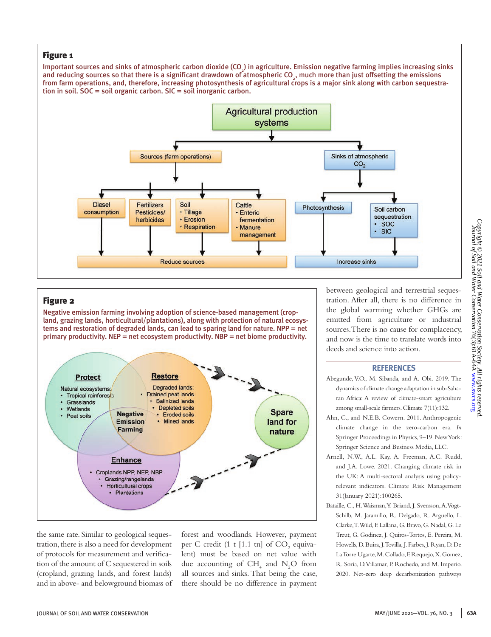## Figure 1

Important sources and sinks of atmospheric carbon dioxide (CO $_{_2}$ ) in agriculture. Emission negative farming implies increasing sinks and reducing sources so that there is a significant drawdown of atmospheric CO<sub>2</sub>, much more than just offsetting the emissions from farm operations, and, therefore, increasing photosynthesis of agricultural crops is a major sink along with carbon sequestration in soil. SOC = soil organic carbon. SIC = soil inorganic carbon.



# Figure 2

Negative emission farming involving adoption of science-based management (cropland, grazing lands, horticultural/plantations), along with protection of natural ecosystems and restoration of degraded lands, can lead to sparing land for nature. NPP = net primary productivity. NEP = net ecosystem productivity. NBP = net biome productivity.



the same rate. Similar to geological sequestration, there is also a need for development of protocols for measurement and verification of the amount of C sequestered in soils (cropland, grazing lands, and forest lands) and in above- and belowground biomass of forest and woodlands. However, payment per C credit (1 t [1.1 tn] of  $CO<sub>2</sub>$  equivalent) must be based on net value with due accounting of  $CH_4$  and  $N_2O$  from all sources and sinks. That being the case, there should be no difference in payment

between geological and terrestrial sequestration. After all, there is no difference in the global warming whether GHGs are emitted from agriculture or industrial sources. There is no cause for complacency, and now is the time to translate words into deeds and science into action.

#### **REFERENCES**

- Abegunde, V.O., M. Sibanda, and A. Obi. 2019. The dynamics of climate change adaptation in sub-Saharan Africa: A review of climate-smart agriculture among small-scale farmers. Climate 7(11):132.
- Ahn, C., and N.E.B. Cowern. 2011. Anthropogenic climate change in the zero-carbon era. *In* Springer Proceedings in Physics, 9–19. New York: Springer Science and Business Media, LLC.
- Arnell, N.W., A.L. Kay, A. Freeman, A.C. Rudd, and J.A. Lowe. 2021. Changing climate risk in the UK: A multi-sectoral analysis using policyrelevant indicators. Climate Risk Management 31(January 2021):100265.
- Bataille, C., H. Waisman, Y. Briand, J. Svensson, A. Vogt-Schilb, M. Jaramillo, R. Delgado, R. Arguello, L. Clarke, T. Wild, F. Lallana, G. Bravo, G. Nadal, G. Le Treut, G. Godinez, J. Quiros-Tortos, E. Pereira, M. Howells, D. Buira, J. Tovilla, J. Farbes, J. Ryan, D. De La Torre Ugarte, M. Collado, F. Requejo, X. Gomez, R. Soria, D. Villamar, P. Rochedo, and M. Imperio. 2020. Net-zero deep decarbonization pathways